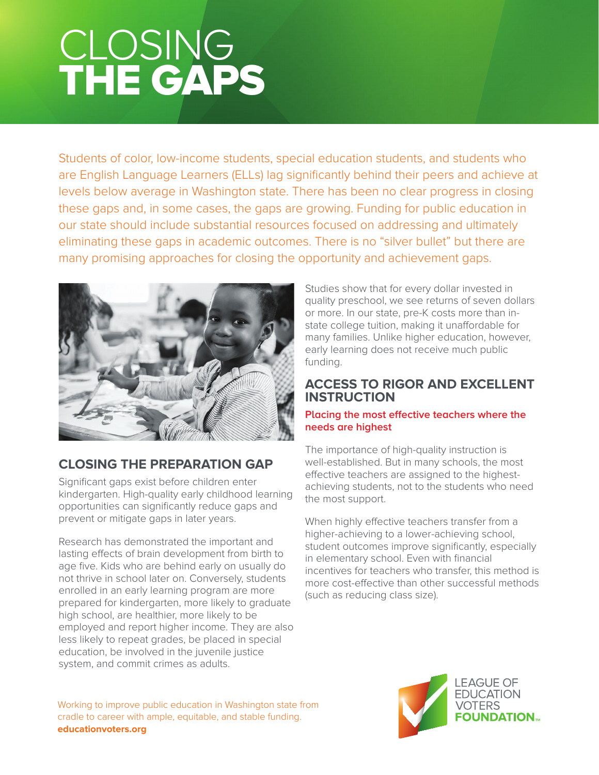# CLOSING THE GAPS

Students of color, low-income students, special education students, and students who are English Language Learners (ELLs) lag significantly behind their peers and achieve at levels below average in Washington state. There has been no clear progress in closing these gaps and, in some cases, the gaps are growing. Funding for public education in our state should include substantial resources focused on addressing and ultimately eliminating these gaps in academic outcomes. There is no "silver bullet" but there are many promising approaches for closing the opportunity and achievement gaps.



# **CLOSING THE PREPARATION GAP**

Significant gaps exist before children enter kindergarten. High-quality early childhood learning opportunities can significantly reduce gaps and prevent or mitigate gaps in later years.

Research has demonstrated the important and lasting effects of brain development from birth to age five. Kids who are behind early on usually do not thrive in school later on. Conversely, students enrolled in an early learning program are more prepared for kindergarten, more likely to graduate high school, are healthier, more likely to be employed and report higher income. They are also less likely to repeat grades, be placed in special education, be involved in the juvenile justice system, and commit crimes as adults.

Studies show that for every dollar invested in quality preschool, we see returns of seven dollars or more. In our state, pre-K costs more than instate college tuition, making it unaffordable for many families. Unlike higher education, however, early learning does not receive much public funding.

### **ACCESS TO RIGOR AND EXCELLENT INSTRUCTION**

#### **Placing the most effective teachers where the needs are highest**

The importance of high-quality instruction is well-established. But in many schools, the most effective teachers are assigned to the highestachieving students, not to the students who need the most support.

When highly effective teachers transfer from a higher-achieving to a lower-achieving school, student outcomes improve significantly, especially in elementary school. Even with financial incentives for teachers who transfer, this method is more cost-effective than other successful methods (such as reducing class size).

Working to improve public education in Washington state from cradle to career with ample, equitable, and stable funding. **educationvoters.org**